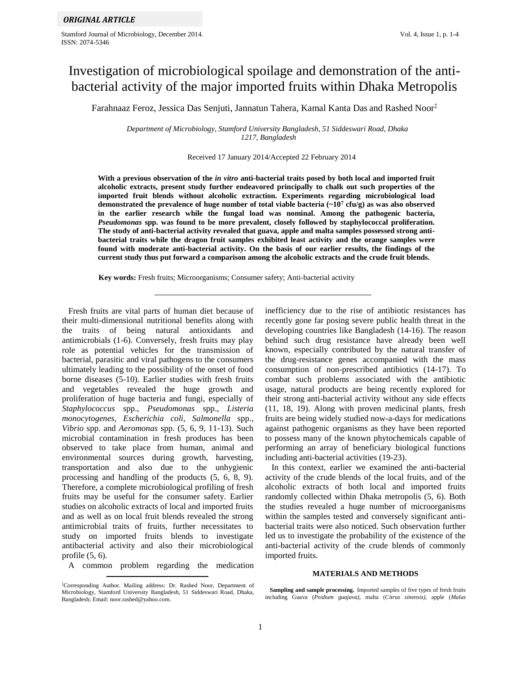Stamford Journal of Microbiology, December 2014. Vol. 4, Issue 1, p. 1-4 ISSN: 2074-5346

# Investigation of microbiological spoilage and demonstration of the antibacterial activity of the major imported fruits within Dhaka Metropolis

Farahnaaz Feroz, Jessica Das Senjuti, Jannatun Tahera, Kamal Kanta Das and Rashed Noor‡

*Department of Microbiology, Stamford University Bangladesh, 51 Siddeswari Road, Dhaka 1217, Bangladesh*

## Received 17 January 2014/Accepted 22 February 2014

**With a previous observation of the** *in vitro* **anti-bacterial traits posed by both local and imported fruit alcoholic extracts, present study further endeavored principally to chalk out such properties of the imported fruit blends without alcoholic extraction. Experiments regarding microbiological load demonstrated the prevalence of huge number of total viable bacteria (~10<sup>7</sup> cfu/g) as was also observed in the earlier research while the fungal load was nominal. Among the pathogenic bacteria,**  *Pseudomonas* **spp. was found to be more prevalent, closely followed by staphylococcal proliferation. The study of anti-bacterial activity revealed that guava, apple and malta samples possessed strong antibacterial traits while the dragon fruit samples exhibited least activity and the orange samples were found with moderate anti-bacterial activity. On the basis of our earlier results, the findings of the current study thus put forward a comparison among the alcoholic extracts and the crude fruit blends.**

**Key words:** Fresh fruits; Microorganisms; Consumer safety; Anti-bacterial activity

 Fresh fruits are vital parts of human diet because of their multi-dimensional nutritional benefits along with the traits of being natural antioxidants and antimicrobials (1-6). Conversely, fresh fruits may play role as potential vehicles for the transmission of bacterial, parasitic and viral pathogens to the consumers ultimately leading to the possibility of the onset of food borne diseases (5-10). Earlier studies with fresh fruits and vegetables revealed the huge growth and proliferation of huge bacteria and fungi, especially of *Staphylococcus* spp., *Pseudomonas* spp., *Listeria monocytogenes, Escherichia coli, Salmonella* spp., *Vibrio* spp. and *Aeromonas* spp. (5, 6, 9, 11-13). Such microbial contamination in fresh produces has been observed to take place from human, animal and environmental sources during growth, harvesting, transportation and also due to the unhygienic processing and handling of the products (5, 6, 8, 9). Therefore, a complete microbiological profiling of fresh fruits may be useful for the consumer safety. Earlier studies on alcoholic extracts of local and imported fruits and as well as on local fruit blends revealed the strong antimicrobial traits of fruits, further necessitates to study on imported fruits blends to investigate antibacterial activity and also their microbiological profile (5, 6).

A common problem regarding the medication

inefficiency due to the rise of antibiotic resistances has recently gone far posing severe public health threat in the developing countries like Bangladesh (14-16). The reason behind such drug resistance have already been well known, especially contributed by the natural transfer of the drug-resistance genes accompanied with the mass consumption of non-prescribed antibiotics (14-17). To combat such problems associated with the antibiotic usage, natural products are being recently explored for their strong anti-bacterial activity without any side effects (11, 18, 19). Along with proven medicinal plants, fresh fruits are being widely studied now-a-days for medications against pathogenic organisms as they have been reported to possess many of the known phytochemicals capable of performing an array of beneficiary biological functions including anti-bacterial activities (19-23).

 In this context, earlier we examined the anti-bacterial activity of the crude blends of the local fruits, and of the alcoholic extracts of both local and imported fruits randomly collected within Dhaka metropolis (5, 6). Both the studies revealed a huge number of microorganisms within the samples tested and conversely significant antibacterial traits were also noticed. Such observation further led us to investigate the probability of the existence of the anti-bacterial activity of the crude blends of commonly imported fruits.

## **MATERIALS AND METHODS**

<sup>‡</sup>Corresponding Author. Mailing address: Dr. Rashed Noor, Department of Microbiology, Stamford University Bangladesh, 51 Siddeswari Road, Dhaka, Bangladesh; Email: noor.rashed@yahoo.com.

**Sampling and sample processing.** Imported samples of five types of fresh fruits including Guava (*Psidium guajava)*, malta (*Citrus sinensis)*, apple (*Malus*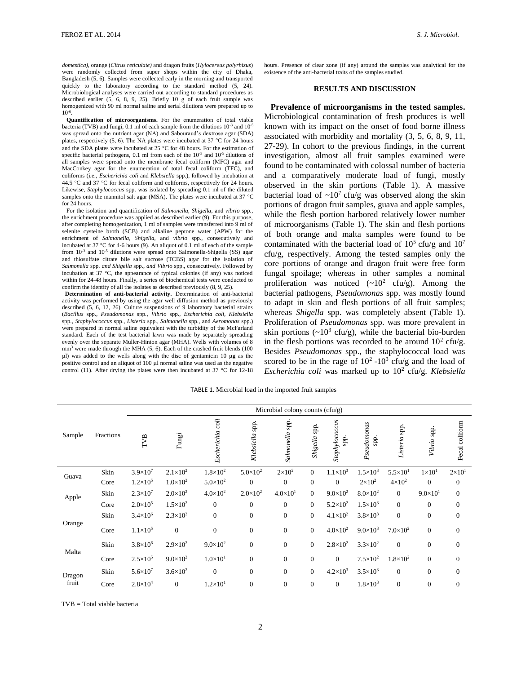*domestica)*, orange (*Citrus reticulate)* and dragon fruits (*Hylocereus polyrhizus*) were randomly collected from super shops within the city of Dhaka, Bangladesh (5, 6). Samples were collected early in the morning and transported quickly to the laboratory according to the standard method (5, 24). Microbiological analyses were carried out according to standard procedures as described earlier (5, 6, 8, 9, 25). Briefly 10 g of each fruit sample was homogenized with 90 ml normal saline and serial dilutions were prepared up to 10-6 .

 **Quantification of microorganisms.** For the enumeration of total viable bacteria (TVB) and fungi,  $0.1$  ml of each sample from the dilutions  $10^{-3}$  and  $10^{-5}$ was spread onto the nutrient agar (NA) and Sabouraud's dextrose agar (SDA) plates, respectively (5, 6). The NA plates were incubated at 37  $^{\circ}$ C for 24 hours and the SDA plates were incubated at 25  $^{\circ}$ C for 48 hours. For the estimation of specific bacterial pathogens,  $0.1$  ml from each of the  $10^{-3}$  and  $10^{-5}$  dilutions of all samples were spread onto the membrane fecal coliform (MFC) agar and MacConkey agar for the enumeration of total fecal coliform (TFC), and coliforms (i.e., *Escherichia coli* and *Klebsiella* spp.), followed by incubation at 44.5  $\degree$ C and 37  $\degree$ C for fecal coliform and coliforms, respectively for 24 hours. Likewise, *Staphylococcus* spp. was isolated by spreading 0.1 ml of the diluted samples onto the mannitol salt agar (MSA). The plates were incubated at 37  $^{\circ}C$ for 24 hours.

For the isolation and quantification of *Salmonella, Shigella*, and *vibrio* spp., the enrichment procedure was applied as described earlier (9). For this purpose, after completing homogenization, 1 ml of samples were transferred into 9 ml of selenite cysteine broth (SCB) and alkaline peptone water (APW) for the enrichment of *Salmonella, Shigella*, and *vibrio* spp., consecutively and incubated at 37  $\degree$ C for 4-6 hours (9). An aliquot of 0.1 ml of each of the sample from  $10^{-3}$  and  $10^{-5}$  dilutions were spread onto Salmonella-Shigella (SS) agar and thiosulfate citrate bile salt sucrose (TCBS) agar for the isolation of *Salmonella* spp*. and Shigella* spp., *and Vibrio* spp., consecutively. Followed by incubation at 37  $\degree$ C, the appearance of typical colonies (if any) was noticed within for 24-48 hours. Finally, a series of biochemical tests were conducted to confirm the identity of all the isolates as described previously (8, 9, 25).

 **Determination of anti-bacterial activity.** Determination of anti-bacterial activity was performed by using the agar well diffusion method as previously described (5, 6, 12, 26). Culture suspensions of 9 laboratory bacterial strains (*Bacillus* spp., *Pseudomonas* spp., *Vibrio* spp., *Escherichia coli, Klebsiella*  spp., *Staphylococcus* spp., *Listeria* spp., *Salmonella* spp., and *Aeromonas* spp.) were prepared in normal saline equivalent with the turbidity of the McFarland standard. Each of the test bacterial lawn was made by separately spreading evenly over the separate Muller-Hinton agar (MHA). Wells with volumes of 8  $mm<sup>3</sup>$  were made through the MHA (5, 6). Each of the crashed fruit blends (100) µl) was added to the wells along with the disc of gentamicin 10 µg as the positive control and an aliquot of 100 µl normal saline was used as the negative control (11). After drying the plates were then incubated at 37 °C for 12-18 hours. Presence of clear zone (if any) around the samples was analytical for the existence of the anti-bacterial traits of the samples studied.

# **RESULTS AND DISCUSSION**

 **Prevalence of microorganisms in the tested samples.**  Microbiological contamination of fresh produces is well known with its impact on the onset of food borne illness associated with morbidity and mortality (3, 5, 6, 8, 9, 11, 27-29). In cohort to the previous findings, in the current investigation, almost all fruit samples examined were found to be contaminated with colossal number of bacteria and a comparatively moderate load of fungi, mostly observed in the skin portions (Table 1). A massive bacterial load of  $\sim 10^7$  cfu/g was observed along the skin portions of dragon fruit samples, guava and apple samples, while the flesh portion harbored relatively lower number of microorganisms (Table 1). The skin and flesh portions of both orange and malta samples were found to be contaminated with the bacterial load of  $10^5$  cfu/g and  $10^7$ cfu/g, respectively. Among the tested samples only the core portions of orange and dragon fruit were free form fungal spoilage; whereas in other samples a nominal proliferation was noticed  $({\sim}10^2 \text{ cfu/g})$ . Among the bacterial pathogens, *Pseudomonas* spp. was mostly found to adapt in skin and flesh portions of all fruit samples; whereas *Shigella* spp. was completely absent (Table 1). Proliferation of *Pseudomonas* spp. was more prevalent in skin portions  $({\sim}10^3 \text{ cfu/g})$ , while the bacterial bio-burden in the flesh portions was recorded to be around  $10^2$  cfu/g. Besides *Pseudomonas* spp., the staphylococcal load was scored to be in the rage of  $10^2$ - $10^3$  cfu/g and the load of *Escherichia coli* was marked up to 10<sup>2</sup> cfu/g. *Klebsiella* 

TABLE 1. Microbial load in the imported fruit samples

|                 |           | Microbial colony counts (cfu/g) |                     |                     |                     |                    |                |                        |                     |                     |                   |                  |
|-----------------|-----------|---------------------------------|---------------------|---------------------|---------------------|--------------------|----------------|------------------------|---------------------|---------------------|-------------------|------------------|
| Sample          | Fractions | <b>TVB</b>                      | Fungi               | Escherichia coli    | Klebsiella spp.     | spp.<br>Salmonella | Shigella spp.  | Staphylococcus<br>spp. | Pseudomonas<br>spp. | Listeria spp.       | Vibrio spp.       | Fecal coliform   |
| Guava           | Skin      | $3.9 \times 10^{7}$             | $2.1 \times 10^2$   | $1.8 \times 10^{2}$ | $5.0 \times 10^{2}$ | $2\times10^2$      | $\overline{0}$ | $1.1 \times 10^3$      | $1.5 \times 10^{3}$ | $5.5 \times 10^{1}$ | $1\times101$      | $2\times101$     |
|                 | Core      | $1.2 \times 10^{5}$             | $1.0\times10^{2}$   | $5.0\times10^{2}$   | $\overline{0}$      | $\Omega$           | $\mathbf{0}$   | $\overline{0}$         | $2\times10^2$       | $4\times10^2$       | $\theta$          | $\mathbf{0}$     |
| Apple           | Skin      | $2.3 \times 10^{7}$             | $2.0\times10^{2}$   | $4.0\times10^{2}$   | $2.0\times10^{2}$   | $4.0\times10^{1}$  | $\Omega$       | $9.0\times10^{2}$      | $8.0\times10^{2}$   | $\mathbf{0}$        | $9.0\times10^{1}$ | $\overline{0}$   |
|                 | Core      | $2.0 \times 10^{5}$             | $1.5\times10^{2}$   | $\boldsymbol{0}$    | $\theta$            | $\mathbf{0}$       | $\Omega$       | $5.2 \times 10^{2}$    | $1.5 \times 10^3$   | $\mathbf{0}$        | $\overline{0}$    | $\boldsymbol{0}$ |
| Orange          | Skin      | $3.4 \times 10^{6}$             | $2.3 \times 10^{2}$ | $\boldsymbol{0}$    | $\mathbf{0}$        | $\mathbf{0}$       | $\overline{0}$ | $4.1 \times 10^{2}$    | $3.8 \times 10^{3}$ | $\mathbf{0}$        | $\overline{0}$    | $\boldsymbol{0}$ |
|                 | Core      | $1.1 \times 10^{5}$             | $\overline{0}$      | $\boldsymbol{0}$    | $\mathbf{0}$        | $\overline{0}$     | $\overline{0}$ | $4.0\times10^{2}$      | $9.0\times10^{3}$   | $7.0\times10^{2}$   | $\overline{0}$    | $\boldsymbol{0}$ |
| Malta           | Skin      | $3.8 \times 10^{6}$             | $2.9\times10^{2}$   | $9.0\times10^{2}$   | $\overline{0}$      | $\overline{0}$     | $\overline{0}$ | $2.8 \times 10^{2}$    | $3.3 \times 10^{2}$ | $\overline{0}$      | $\overline{0}$    | $\boldsymbol{0}$ |
|                 | Core      | $2.5 \times 10^{5}$             | $9.0 \times 10^{2}$ | $1.0 \times 10^{1}$ | $\mathbf{0}$        | $\mathbf{0}$       | $\mathbf{0}$   | $\mathbf{0}$           | $7.5 \times 10^{2}$ | $1.8\times10^{2}$   | $\overline{0}$    | $\boldsymbol{0}$ |
| Dragon<br>fruit | Skin      | $5.6 \times 10^{7}$             | $3.6 \times 10^{2}$ | $\mathbf{0}$        | $\mathbf{0}$        | $\Omega$           | $\overline{0}$ | $4.2 \times 10^3$      | $3.5 \times 10^{3}$ | $\mathbf{0}$        | $\overline{0}$    | $\mathbf{0}$     |
|                 | Core      | $2.8 \times 10^{4}$             | $\overline{0}$      | $1.2 \times 10^{1}$ | $\mathbf{0}$        | $\overline{0}$     | $\mathbf{0}$   | $\boldsymbol{0}$       | $1.8 \times 10^3$   | $\mathbf{0}$        | $\overline{0}$    | $\boldsymbol{0}$ |

 TVB = Total viable bacteria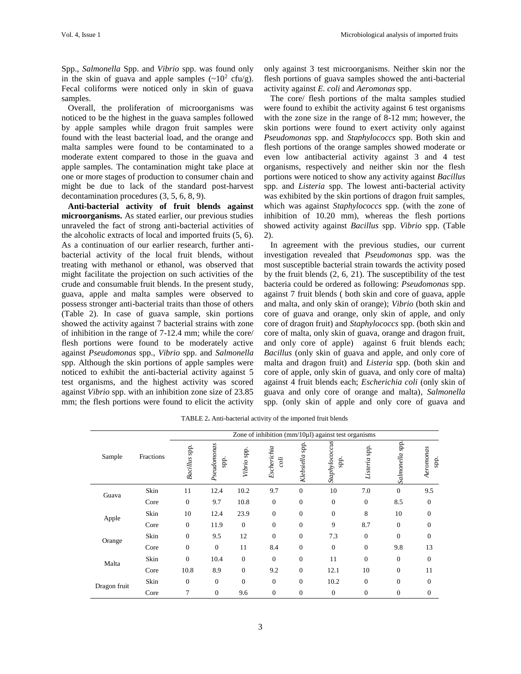Spp., *Salmonella* Spp. and *Vibrio* spp. was found only in the skin of guava and apple samples  $({\sim}10^2 \text{ cfu/g}).$ Fecal coliforms were noticed only in skin of guava samples.

 Overall, the proliferation of microorganisms was noticed to be the highest in the guava samples followed by apple samples while dragon fruit samples were found with the least bacterial load, and the orange and malta samples were found to be contaminated to a moderate extent compared to those in the guava and apple samples. The contamination might take place at one or more stages of production to consumer chain and might be due to lack of the standard post-harvest decontamination procedures (3, 5, 6, 8, 9).

 **Anti-bacterial activity of fruit blends against microorganisms.** As stated earlier, our previous studies unraveled the fact of strong anti-bacterial activities of the alcoholic extracts of local and imported fruits (5, 6). As a continuation of our earlier research, further antibacterial activity of the local fruit blends, without treating with methanol or ethanol, was observed that might facilitate the projection on such activities of the crude and consumable fruit blends. In the present study, guava, apple and malta samples were observed to possess stronger anti-bacterial traits than those of others (Table 2). In case of guava sample, skin portions showed the activity against 7 bacterial strains with zone of inhibition in the range of 7-12.4 mm; while the core/ flesh portions were found to be moderately active against *Pseudomonas* spp., *Vibrio* spp. and *Salmonella*  spp. Although the skin portions of apple samples were noticed to exhibit the anti-bacterial activity against 5 test organisms, and the highest activity was scored against *Vibrio* spp. with an inhibition zone size of 23.85 mm; the flesh portions were found to elicit the activity

only against 3 test microorganisms. Neither skin nor the flesh portions of guava samples showed the anti-bacterial activity against *E. coli* and *Aeromonas* spp.

 The core/ flesh portions of the malta samples studied were found to exhibit the activity against 6 test organisms with the zone size in the range of 8-12 mm; however, the skin portions were found to exert activity only against *Pseudomonas* spp. and *Staphylococcs* spp. Both skin and flesh portions of the orange samples showed moderate or even low antibacterial activity against 3 and 4 test organisms, respectively and neither skin nor the flesh portions were noticed to show any activity against *Bacillus*  spp. and *Listeria* spp. The lowest anti-bacterial activity was exhibited by the skin portions of dragon fruit samples, which was against *Staphylococcs* spp. (with the zone of inhibition of 10.20 mm), whereas the flesh portions showed activity against *Bacillus* spp. *Vibrio* spp. (Table 2).

 In agreement with the previous studies, our current investigation revealed that *Pseudomonas* spp. was the most susceptible bacterial strain towards the activity posed by the fruit blends (2, 6, 21). The susceptibility of the test bacteria could be ordered as following: *Pseudomonas* spp. against 7 fruit blends ( both skin and core of guava, apple and malta, and only skin of orange); *Vibrio* (both skin and core of guava and orange, only skin of apple, and only core of dragon fruit) and *Staphylococcs* spp. (both skin and core of malta, only skin of guava, orange and dragon fruit, and only core of apple) against 6 fruit blends each; *Bacillus* (only skin of guava and apple, and only core of malta and dragon fruit) and *Listeria* spp. (both skin and core of apple, only skin of guava, and only core of malta) against 4 fruit blends each; *Escherichia coli* (only skin of guava and only core of orange and malta)*, Salmonella*  spp. (only skin of apple and only core of guava and

|              | Fractions | Zone of inhibition ( $mm/10\mu$ ) against test organisms |                            |              |                     |                |                               |               |                    |                   |  |
|--------------|-----------|----------------------------------------------------------|----------------------------|--------------|---------------------|----------------|-------------------------------|---------------|--------------------|-------------------|--|
| Sample       |           | Bacillus spp.                                            | Pseudomonas<br><b>Spp.</b> | Vibrio spp.  | Escherichia<br>coli | Klebsiella spp | Staphylococcus<br><b>Spp.</b> | Listeria spp. | spp.<br>Salmonella | Aeromonas<br>spp. |  |
| Guava        | Skin      | 11                                                       | 12.4                       | 10.2         | 9.7                 | $\mathbf{0}$   | 10                            | 7.0           | $\theta$           | 9.5               |  |
|              | Core      | $\Omega$                                                 | 9.7                        | 10.8         | $\Omega$            | $\Omega$       | $\theta$                      | $\Omega$      | 8.5                | $\mathbf{0}$      |  |
| Apple        | Skin      | 10                                                       | 12.4                       | 23.9         | $\theta$            | $\mathbf{0}$   | $\theta$                      | 8             | 10                 | $\overline{0}$    |  |
|              | Core      | $\Omega$                                                 | 11.9                       | $\theta$     | $\Omega$            | $\Omega$       | 9                             | 8.7           | $\theta$           | $\Omega$          |  |
| Orange       | Skin      | $\mathbf{0}$                                             | 9.5                        | 12           | $\Omega$            | $\mathbf{0}$   | 7.3                           | $\Omega$      | $\Omega$           | $\Omega$          |  |
|              | Core      | $\Omega$                                                 | $\overline{0}$             | 11           | 8.4                 | $\Omega$       | $\theta$                      | $\Omega$      | 9.8                | 13                |  |
| Malta        | Skin      | $\Omega$                                                 | 10.4                       | $\theta$     | $\Omega$            | $\mathbf{0}$   | 11                            | $\Omega$      | $\theta$           | $\overline{0}$    |  |
|              | Core      | 10.8                                                     | 8.9                        | $\mathbf{0}$ | 9.2                 | $\mathbf{0}$   | 12.1                          | 10            | $\theta$           | 11                |  |
| Dragon fruit | Skin      | $\Omega$                                                 | $\overline{0}$             | $\theta$     | $\Omega$            | $\mathbf{0}$   | 10.2                          | $\Omega$      | $\Omega$           | $\Omega$          |  |
|              | Core      | $\overline{7}$                                           | $\overline{0}$             | 9.6          | $\theta$            | $\mathbf{0}$   | $\theta$                      | $\mathbf{0}$  | $\mathbf{0}$       | 0                 |  |

TABLE 2. Anti-bacterial activity of the imported fruit blends

3